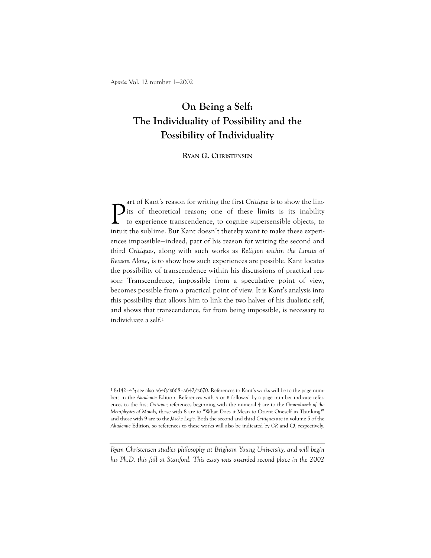# On Being a Self: The Individuality of Possibility and the Possibility of Individuality

RYAN G. CHRISTENSEN

P art of Kant's reason for writing the first Critique is to show the limits of theoretical reason; one of these limits is its inability to experience transcendence, to cognize supersensible objects, to intuit the sublime. But Kant doesn't thereby want to make these experiences impossible—indeed, part of his reason for writing the second and third Critiques, along with such works as Religion within the Limits of Reason Alone, is to show how such experiences are possible. Kant locates the possibility of transcendence within his discussions of practical reason: Transcendence, impossible from a speculative point of view, becomes possible from a practical point of view. It is Kant's analysis into this possibility that allows him to link the two halves of his dualistic self, and shows that transcendence, far from being impossible, is necessary to individuate a self.<sup>1</sup>

1 8:142–43; see also A640/B668–A642/B670. References to Kant's works will be to the page numbers in the Akademie Edition. References with A or B followed by a page number indicate references to the first Critique; references beginning with the numeral 4 are to the Groundwork of the Metaphysics of Morals, those with 8 are to "What Does it Mean to Orient Oneself in Thinking?" and those with 9 are to the Jäsche Logic. Both the second and third Critiques are in volume 5 of the Akademie Edition, so references to these works will also be indicated by CR and CJ, respectively.

Ryan Christensen studies philosophy at Brigham Young University, and will begin his Ph.D. this fall at Stanford. This essay was awarded second place in the 2002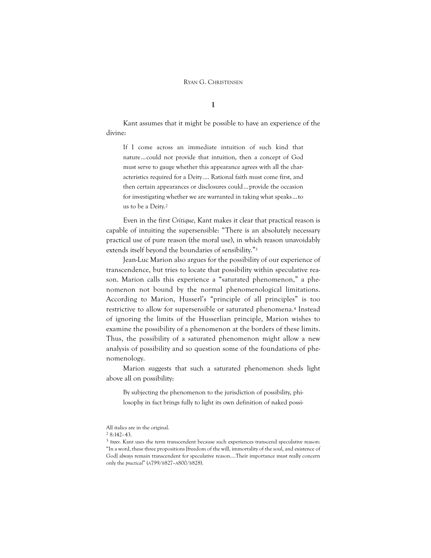I

Kant assumes that it might be possible to have an experience of the divine:

If I come across an immediate intuition of such kind that nature…could not provide that intuition, then a concept of God must serve to gauge whether this appearance agrees with all the characteristics required for a Deity.… Rational faith must come first, and then certain appearances or disclosures could…provide the occasion for investigating whether we are warranted in taking what speaks…to us to be a Deity. 2

Even in the first Critique, Kant makes it clear that practical reason is capable of intuiting the supersensible: "There is an absolutely necessary practical use of pure reason (the moral use), in which reason unavoidably extends itself beyond the boundaries of sensibility."<sup>3</sup>

Jean-Luc Marion also argues for the possibility of our experience of transcendence, but tries to locate that possibility within speculative reason. Marion calls this experience a "saturated phenomenon," a phenomenon not bound by the normal phenomenological limitations. According to Marion, Husserl's "principle of all principles" is too restrictive to allow for supersensible or saturated phenomena.<sup>4</sup> Instead of ignoring the limits of the Husserlian principle, Marion wishes to examine the possibility of a phenomenon at the borders of these limits. Thus, the possibility of a saturated phenomenon might allow a new analysis of possibility and so question some of the foundations of phenomenology.

Marion suggests that such a saturated phenomenon sheds light above all on possibility:

By subjecting the phenomenon to the jurisdiction of possibility, philosophy in fact brings fully to light its own definition of naked possi-

All italics are in the original.

<sup>2</sup> 8:142–43.

<sup>3</sup> Bxxv. Kant uses the term transcendent because such experiences transcend speculative reason: "In a word, these three propositions [freedom of the will, immortality of the soul, and existence of God] always remain transcendent for speculative reason....Their importance must really concern only the practical" (A799/B827–A800/B828).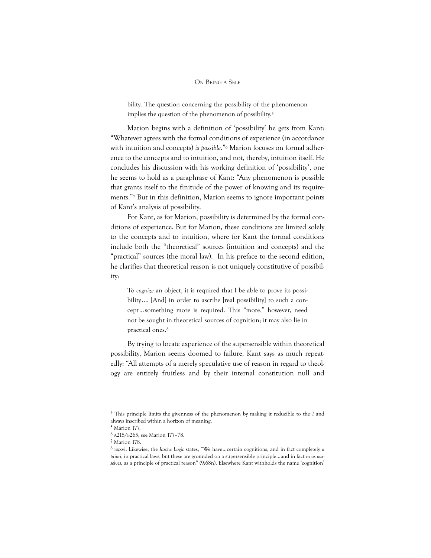bility. The question concerning the possibility of the phenomenon implies the question of the phenomenon of possibility. 5

Marion begins with a definition of 'possibility' he gets from Kant: "Whatever agrees with the formal conditions of experience (in accordance with intuition and concepts) is possible."<sup>6</sup> Marion focuses on formal adherence to the concepts and to intuition, and not, thereby, intuition itself. He concludes his discussion with his working definition of 'possibility', one he seems to hold as a paraphrase of Kant: "Any phenomenon is possible that grants itself to the finitude of the power of knowing and its requirements."<sup>7</sup> But in this definition, Marion seems to ignore important points of Kant's analysis of possibility.

For Kant, as for Marion, possibility is determined by the formal conditions of experience. But for Marion, these conditions are limited solely to the concepts and to intuition, where for Kant the formal conditions include both the "theoretical" sources (intuition and concepts) and the "practical" sources (the moral law). In his preface to the second edition, he clarifies that theoretical reason is not uniquely constitutive of possibility:

To cognize an object, it is required that I be able to prove its possibility.… [And] in order to ascribe [real possibility] to such a concept…something more is required. This "more," however, need not be sought in theoretical sources of cognition; it may also lie in practical ones.<sup>8</sup>

By trying to locate experience of the supersensible within theoretical possibility, Marion seems doomed to failure. Kant says as much repeatedly: "All attempts of a merely speculative use of reason in regard to theology are entirely fruitless and by their internal constitution null and

<sup>4</sup> This principle limits the givenness of the phenomenon by making it reducible to the I and always inscribed within a horizon of meaning.

<sup>5</sup> Marion 177.

<sup>6</sup> A218/B265; see Marion 177–78.

<sup>7</sup> Marion 178.

 $8$  Bxxvi. Likewise, the Jäsche Logic states, "We have... certain cognitions, and in fact completely a priori, in practical laws, but these are grounded on a supersensible principle…and in fact in us ourselves, as a principle of practical reason" (9:68n). Elsewhere Kant withholds the name 'cognition'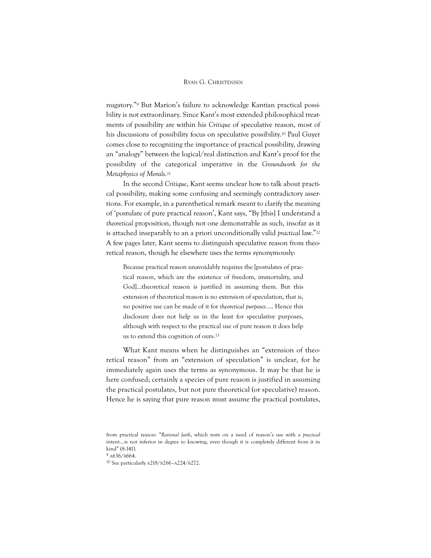nugatory."<sup>9</sup> But Marion's failure to acknowledge Kantian practical possibility is not extraordinary. Since Kant's most extended philosophical treatments of possibility are within his Critique of speculative reason, most of his discussions of possibility focus on speculative possibility. <sup>10</sup> Paul Guyer comes close to recognizing the importance of practical possibility, drawing an "analogy" between the logical/real distinction and Kant's proof for the possibility of the categorical imperative in the Groundwork for the Metaphysics of Morals. 11

In the second Critique, Kant seems unclear how to talk about practical possibility, making some confusing and seemingly contradictory assertions. For example, in a parenthetical remark meant to clarify the meaning of 'postulate of pure practical reason', Kant says, "By [this] I understand a theoretical proposition, though not one demonstrable as such, insofar as it is attached inseparably to an a priori unconditionally valid practical law."<sup>12</sup> A few pages later, Kant seems to distinguish speculative reason from theoretical reason, though he elsewhere uses the terms synonymously:

Because practical reason unavoidably requires the [postulates of practical reason, which are the existence of freedom, immortality, and God]...theoretical reason is justified in assuming them. But this extension of theoretical reason is no extension of speculation, that is, no positive use can be made of it for theoretical purposes.… Hence this disclosure does not help us in the least for speculative purposes, although with respect to the practical use of pure reason it does help us to extend this cognition of ours.<sup>13</sup>

What Kant means when he distinguishes an "extension of theoretical reason" from an "extension of speculation" is unclear, for he immediately again uses the terms as synonymous. It may be that he is here confused; certainly a species of pure reason is justified in assuming the practical postulates, but not pure theoretical (or speculative) reason. Hence he is saying that pure reason must assume the practical postulates,

 $9$  A636/B664.

10 See particularly A218/B266–A224/B272.

from practical reason: "Rational faith, which rests on a need of reason's use with a practical intent…is not inferior in degree to knowing, even though it is completely different from it in kind" (8:141).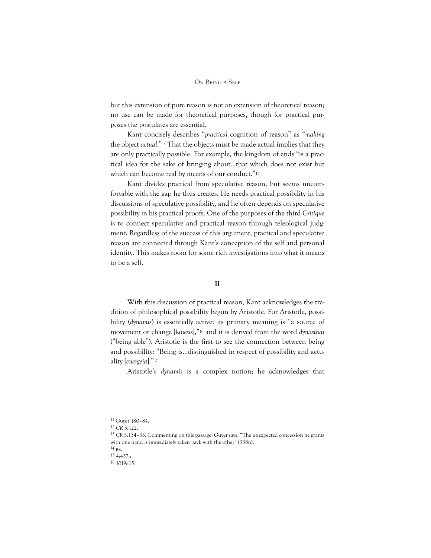but this extension of pure reason is not an extension of theoretical reason; no use can be made for theoretical purposes, though for practical purposes the postulates are essential.

Kant concisely describes "practical cognition of reason" as "making the object actual."<sup>14</sup> That the objects must be made actual implies that they are only practically possible. For example, the kingdom of ends "is a practical idea for the sake of bringing about...that which does not exist but which can become real by means of our conduct."<sup>15</sup>

Kant divides practical from speculative reason, but seems uncomfortable with the gap he thus creates. He needs practical possibility in his discussions of speculative possibility, and he often depends on speculative possibility in his practical proofs. One of the purposes of the third Critique is to connect speculative and practical reason through teleological judgment. Regardless of the success of this argument, practical and speculative reason are connected through Kant's conception of the self and personal identity. This makes room for some rich investigations into what it means to be a self.

## II

With this discussion of practical reason, Kant acknowledges the tradition of philosophical possibility begun by Aristotle. For Aristotle, possibility (dynamis) is essentially active: its primary meaning is "a source of movement or change [kinesis],"<sup>16</sup> and it is derived from the word dynasthai ("being able"). Aristotle is the first to see the connection between being and possibility: "Being is...distinguished in respect of possibility and actuality [energeia]."<sup>17</sup>

Aristotle's dynamis is a complex notion; he acknowledges that

11 Guyer 180–84.

<sup>12</sup> CR 5:122.

<sup>13</sup> CR 5:134–35. Commenting on this passage, Guyer says, "The unexpected concession he grants with one hand is immediately taken back with the other" (338n).

<sup>14</sup> Bx.

<sup>15</sup> 4:437n.

<sup>16</sup> 1019a15.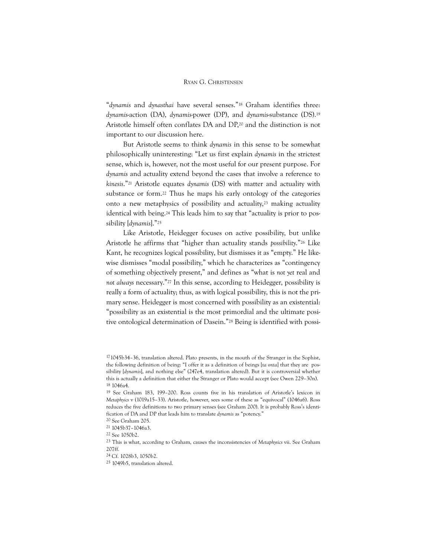"dynamis and dynasthai have several senses."<sup>18</sup> Graham identifies three: dynamis-action (DA), dynamis-power (DP), and dynamis-substance (DS).<sup>19</sup> Aristotle himself often conflates DA and DP, <sup>20</sup> and the distinction is not important to our discussion here.

But Aristotle seems to think dynamis in this sense to be somewhat philosophically uninteresting: "Let us first explain dynamis in the strictest sense, which is, however, not the most useful for our present purpose. For dynamis and actuality extend beyond the cases that involve a reference to kinesis."<sup>21</sup> Aristotle equates dynamis (DS) with matter and actuality with substance or form.<sup>22</sup> Thus he maps his early ontology of the categories onto a new metaphysics of possibility and actuality, <sup>23</sup> making actuality identical with being.<sup>24</sup> This leads him to say that "actuality is prior to possibility [dynamis]."<sup>25</sup>

Like Aristotle, Heidegger focuses on active possibility, but unlike Aristotle he affirms that "higher than actuality stands possibility."<sup>26</sup> Like Kant, he recognizes logical possibility, but dismisses it as "empty." He likewise dismisses "modal possibility," which he characterizes as "contingency of something objectively present," and defines as "what is not yet real and not always necessary."<sup>27</sup> In this sense, according to Heidegger, possibility is really a form of actuality; thus, as with logical possibility, this is not the primary sense. Heidegger is most concerned with possibility as an existential: "possibility as an existential is the most primordial and the ultimate positive ontological determination of Dasein."<sup>28</sup> Being is identified with possi-

<sup>17</sup>1045b34–36, translation altered. Plato presents, in the mouth of the Stranger in the Sophist, the following definition of being: "I offer it as a definition of beings [ta onta] that they are possibility [dynamis], and nothing else" (247e4, translation altered). But it is controversial whether this is actually a definition that either the Stranger or Plato would accept (see Owen 229–30n). 18 1046a4.

<sup>19</sup> See Graham 183, 199–200. Ross counts five in his translation of Aristotle's lexicon in Metaphyics v (1019a15–33). Aristotle, however, sees some of these as "equivocal" (1046a6). Ross reduces the five definitions to two primary senses (see Graham 200). It is probably Ross's identification of DA and DP that leads him to translate dynamis as "potency."

<sup>20</sup> See Graham 205.

<sup>21</sup> 1045b37–1046a3.

<sup>22</sup> See 1050b2.

<sup>23</sup> This is what, according to Graham, causes the inconsistencies of Metaphysics vii. See Graham 207ff.

<sup>24</sup> Cf. 1028b3, 1050b2.

<sup>25</sup> 1049b5, translation altered.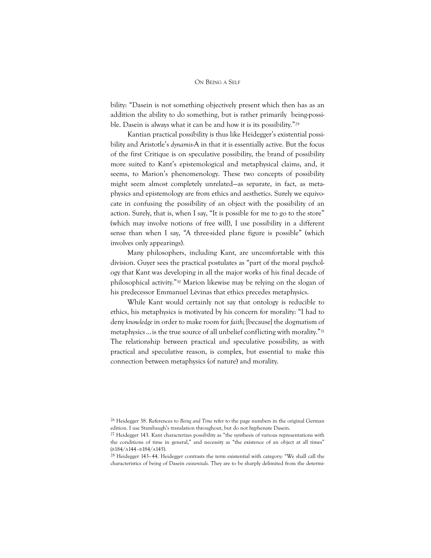bility: "Dasein is not something objectively present which then has as an addition the ability to do something, but is rather primarily being-possible. Dasein is always what it can be and how it is its possibility."<sup>29</sup>

Kantian practical possibility is thus like Heidegger's existential possibility and Aristotle's dynamis-A in that it is essentially active. But the focus of the first Critique is on speculative possibility, the brand of possibility more suited to Kant's epistemological and metaphysical claims, and, it seems, to Marion's phenomenology. These two concepts of possibility might seem almost completely unrelated—as separate, in fact, as metaphysics and epistemology are from ethics and aesthetics. Surely we equivocate in confusing the possibility of an object with the possibility of an action. Surely, that is, when I say, "It is possible for me to go to the store" (which may involve notions of free will), I use possibility in a different sense than when I say, "A three-sided plane figure is possible" (which involves only appearings).

Many philosophers, including Kant, are uncomfortable with this division. Guyer sees the practical postulates as "part of the moral psychology that Kant was developing in all the major works of his final decade of philosophical activity."<sup>30</sup> Marion likewise may be relying on the slogan of his predecessor Emmanuel Lévinas that ethics precedes metaphysics.

While Kant would certainly not say that ontology is reducible to ethics, his metaphysics is motivated by his concern for morality: "I had to deny knowledge in order to make room for faith; [because] the dogmatism of metaphysics…is the true source of all unbelief conflicting with morality."<sup>31</sup> The relationship between practical and speculative possibility, as with practical and speculative reason, is complex, but essential to make this connection between metaphysics (of nature) and morality.

<sup>26</sup> Heidegger 38. References to Being and Time refer to the page numbers in the original German edition. I use Stambaugh's translation throughout, but do not hyphenate Dasein.

 $27$  Heidegger 143. Kant characterizes possibility as "the synthesis of various representations with the conditions of time in general," and necessity as "the existence of an object at all times" (B184/A144–B184/A145).

 $28$  Heidegger 143–44. Heidegger contrasts the term existential with category: "We shall call the characteristics of being of Dasein existentials. They are to be sharply delimited from the determi-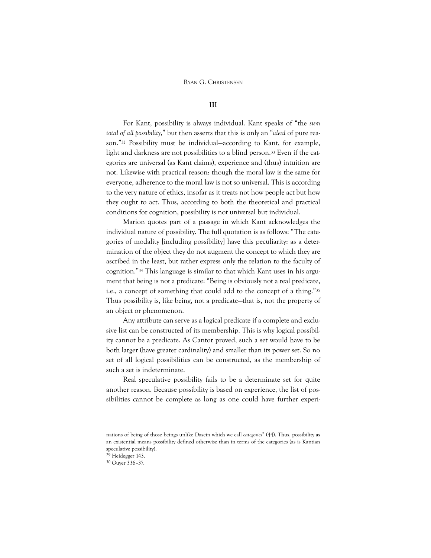## III

For Kant, possibility is always individual. Kant speaks of "the sum total of all possibility," but then asserts that this is only an "ideal of pure reason."<sup>32</sup> Possibility must be individual—according to Kant, for example, light and darkness are not possibilities to a blind person.<sup>33</sup> Even if the categories are universal (as Kant claims), experience and (thus) intuition are not. Likewise with practical reason: though the moral law is the same for everyone, adherence to the moral law is not so universal. This is according to the very nature of ethics, insofar as it treats not how people act but how they ought to act. Thus, according to both the theoretical and practical conditions for cognition, possibility is not universal but individual.

Marion quotes part of a passage in which Kant acknowledges the individual nature of possibility. The full quotation is as follows: "The categories of modality [including possibility] have this peculiarity: as a determination of the object they do not augment the concept to which they are ascribed in the least, but rather express only the relation to the faculty of cognition."<sup>34</sup> This language is similar to that which Kant uses in his argument that being is not a predicate: "Being is obviously not a real predicate, i.e., a concept of something that could add to the concept of a thing."<sup>35</sup> Thus possibility is, like being, not a predicate—that is, not the property of an object or phenomenon.

Any attribute can serve as a logical predicate if a complete and exclusive list can be constructed of its membership. This is why logical possibility cannot be a predicate. As Cantor proved, such a set would have to be both larger (have greater cardinality) and smaller than its power set. So no set of all logical possibilities can be constructed, as the membership of such a set is indeterminate.

Real speculative possibility fails to be a determinate set for quite another reason. Because possibility is based on experience, the list of possibilities cannot be complete as long as one could have further experi-

nations of being of those beings unlike Dasein which we call categories" (44). Thus, possibility as an existential means possibility defined otherwise than in terms of the categories (as is Kantian speculative possibility).

<sup>29</sup> Heidegger 143.

<sup>30</sup> Guyer 336–37.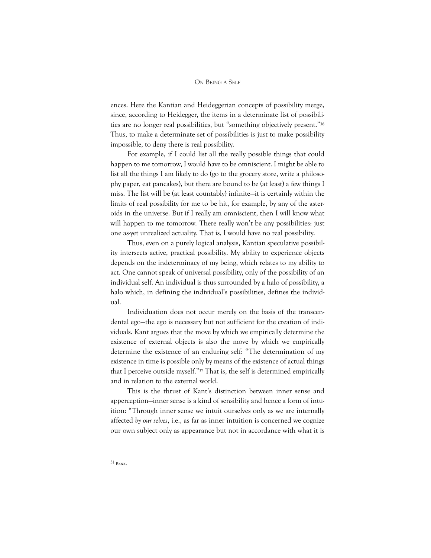ences. Here the Kantian and Heideggerian concepts of possibility merge, since, according to Heidegger, the items in a determinate list of possibilities are no longer real possibilities, but "something objectively present."<sup>36</sup> Thus, to make a determinate set of possibilities is just to make possibility impossible, to deny there is real possibility.

For example, if I could list all the really possible things that could happen to me tomorrow, I would have to be omniscient. I might be able to list all the things I am likely to do (go to the grocery store, write a philosophy paper, eat pancakes), but there are bound to be (at least) a few things I miss. The list will be (at least countably) infinite—it is certainly within the limits of real possibility for me to be hit, for example, by any of the asteroids in the universe. But if I really am omniscient, then I will know what will happen to me tomorrow. There really won't be any possibilities: just one as-yet unrealized actuality. That is, I would have no real possibility.

Thus, even on a purely logical analysis, Kantian speculative possibility intersects active, practical possibility. My ability to experience objects depends on the indeterminacy of my being, which relates to my ability to act. One cannot speak of universal possibility, only of the possibility of an individual self. An individual is thus surrounded by a halo of possibility, a halo which, in defining the individual's possibilities, defines the individual.

Individuation does not occur merely on the basis of the transcendental ego—the ego is necessary but not sufficient for the creation of individuals. Kant argues that the move by which we empirically determine the existence of external objects is also the move by which we empirically determine the existence of an enduring self: "The determination of my existence in time is possible only by means of the existence of actual things that I perceive outside myself."<sup>37</sup> That is, the self is determined empirically and in relation to the external world.

This is the thrust of Kant's distinction between inner sense and apperception—inner sense is a kind of sensibility and hence a form of intuition: "Through inner sense we intuit ourselves only as we are internally affected by our selves, i.e., as far as inner intuition is concerned we cognize our own subject only as appearance but not in accordance with what it is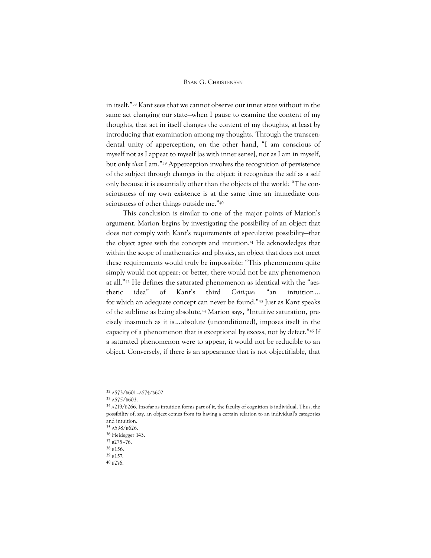in itself."<sup>38</sup> Kant sees that we cannot observe our inner state without in the same act changing our state—when I pause to examine the content of my thoughts, that act in itself changes the content of my thoughts, at least by introducing that examination among my thoughts. Through the transcendental unity of apperception, on the other hand, "I am conscious of myself not as I appear to myself [as with inner sense], nor as I am in myself, but only that I am."<sup>39</sup> Apperception involves the recognition of persistence of the subject through changes in the object; it recognizes the self as a self only because it is essentially other than the objects of the world: "The consciousness of my own existence is at the same time an immediate consciousness of other things outside me."<sup>40</sup>

This conclusion is similar to one of the major points of Marion's argument. Marion begins by investigating the possibility of an object that does not comply with Kant's requirements of speculative possibility—that the object agree with the concepts and intuition.<sup>41</sup> He acknowledges that within the scope of mathematics and physics, an object that does not meet these requirements would truly be impossible: "This phenomenon quite simply would not appear; or better, there would not be any phenomenon at all."<sup>42</sup> He defines the saturated phenomenon as identical with the "aesthetic idea" of Kant's third Critique: "an intuition… for which an adequate concept can never be found."<sup>43</sup> Just as Kant speaks of the sublime as being absolute,<sup>44</sup> Marion says, "Intuitive saturation, precisely inasmuch as it is…absolute (unconditioned), imposes itself in the capacity of a phenomenon that is exceptional by excess, not by defect."<sup>45</sup> If a saturated phenomenon were to appear, it would not be reducible to an object. Conversely, if there is an appearance that is not objectifiable, that

36 Heidegger 143. 37 B275–76.

39 B157.

<sup>32</sup> A573/B601–A574/B602.

<sup>33</sup> A575/B603.

<sup>34</sup> A219/B266. Insofar as intuition forms part of it, the faculty of cognition is individual. Thus, the possibility of, say, an object comes from its having a certain relation to an individual's categories and intuition. 35 A598/B626.

<sup>38</sup> B156.

<sup>40</sup> B276.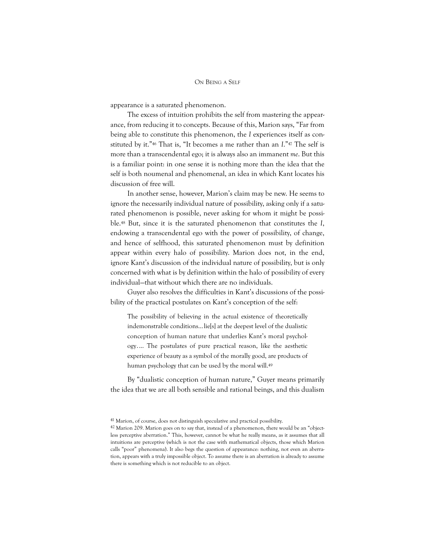appearance is a saturated phenomenon.

The excess of intuition prohibits the self from mastering the appearance, from reducing it to concepts. Because of this, Marion says, "Far from being able to constitute this phenomenon, the I experiences itself as constituted by it."<sup>46</sup> That is, "It becomes a me rather than an I."<sup>47</sup> The self is more than a transcendental ego; it is always also an immanent me. But this is a familiar point: in one sense it is nothing more than the idea that the self is both noumenal and phenomenal, an idea in which Kant locates his discussion of free will.

In another sense, however, Marion's claim may be new. He seems to ignore the necessarily individual nature of possibility, asking only if a saturated phenomenon is possible, never asking for whom it might be possible.<sup>48</sup> But, since it is the saturated phenomenon that constitutes the I, endowing a transcendental ego with the power of possibility, of change, and hence of selfhood, this saturated phenomenon must by definition appear within every halo of possibility. Marion does not, in the end, ignore Kant's discussion of the individual nature of possibility, but is only concerned with what is by definition within the halo of possibility of every individual—that without which there are no individuals.

Guyer also resolves the difficulties in Kant's discussions of the possibility of the practical postulates on Kant's conception of the self:

The possibility of believing in the actual existence of theoretically indemonstrable conditions…lie[s] at the deepest level of the dualistic conception of human nature that underlies Kant's moral psychology.… The postulates of pure practical reason, like the aesthetic experience of beauty as a symbol of the morally good, are products of human psychology that can be used by the moral will.<sup>49</sup>

By "dualistic conception of human nature," Guyer means primarily the idea that we are all both sensible and rational beings, and this dualism

<sup>41</sup> Marion, of course, does not distinguish speculative and practical possibility.

<sup>42</sup> Marion 209. Marion goes on to say that, instead of a phenomenon, there would be an "objectless perceptive aberration." This, however, cannot be what he really means, as it assumes that all intuitions are perceptive (which is not the case with mathematical objects, those which Marion calls "poor" phenomena). It also begs the question of appearance: nothing, not even an aberration, appears with a truly impossible object. To assume there is an aberration is already to assume there is something which is not reducible to an object.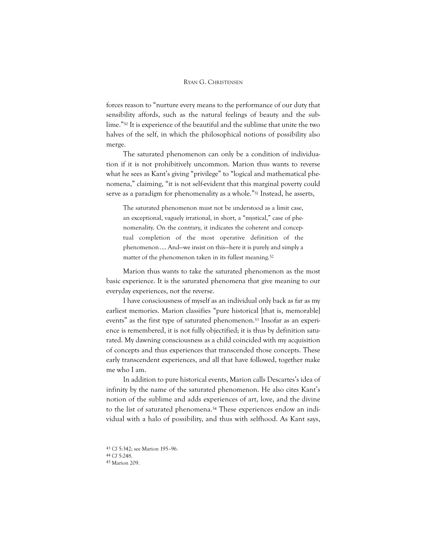forces reason to "nurture every means to the performance of our duty that sensibility affords, such as the natural feelings of beauty and the sublime."<sup>50</sup> It is experience of the beautiful and the sublime that unite the two halves of the self, in which the philosophical notions of possibility also merge.

The saturated phenomenon can only be a condition of individuation if it is not prohibitively uncommon. Marion thus wants to reverse what he sees as Kant's giving "privilege" to "logical and mathematical phenomena," claiming, "it is not self-evident that this marginal poverty could serve as a paradigm for phenomenality as a whole."<sup>51</sup> Instead, he asserts,

The saturated phenomenon must not be understood as a limit case, an exceptional, vaguely irrational, in short, a "mystical," case of phenomenality. On the contrary, it indicates the coherent and conceptual completion of the most operative definition of the phenomenon.… And—we insist on this—here it is purely and simply a matter of the phenomenon taken in its fullest meaning.<sup>52</sup>

Marion thus wants to take the saturated phenomenon as the most basic experience. It is the saturated phenomena that give meaning to our everyday experiences, not the reverse.

I have consciousness of myself as an individual only back as far as my earliest memories. Marion classifies "pure historical [that is, memorable] events" as the first type of saturated phenomenon.<sup>53</sup> Insofar as an experience is remembered, it is not fully objectified; it is thus by definition saturated. My dawning consciousness as a child coincided with my acquisition of concepts and thus experiences that transcended those concepts. These early transcendent experiences, and all that have followed, together make me who I am.

In addition to pure historical events, Marion calls Descartes's idea of infinity by the name of the saturated phenomenon. He also cites Kant's notion of the sublime and adds experiences of art, love, and the divine to the list of saturated phenomena.<sup>54</sup> These experiences endow an individual with a halo of possibility, and thus with selfhood. As Kant says,

43 CJ 5:342; see Marion 195–96. 44 CJ 5:248. 45 Marion 209.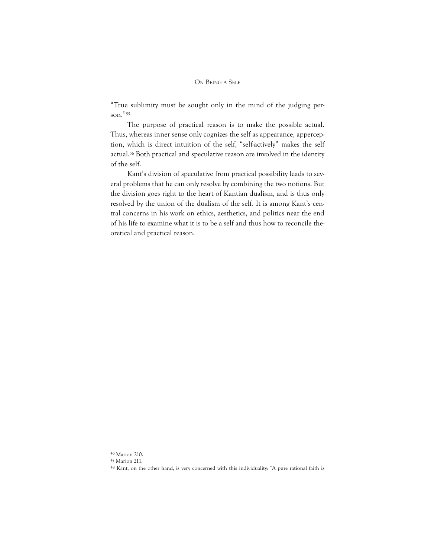"True sublimity must be sought only in the mind of the judging person."<sup>55</sup>

The purpose of practical reason is to make the possible actual. Thus, whereas inner sense only cognizes the self as appearance, apperception, which is direct intuition of the self, "self-actively" makes the self actual.<sup>56</sup> Both practical and speculative reason are involved in the identity of the self.

Kant's division of speculative from practical possibility leads to several problems that he can only resolve by combining the two notions. But the division goes right to the heart of Kantian dualism, and is thus only resolved by the union of the dualism of the self. It is among Kant's central concerns in his work on ethics, aesthetics, and politics near the end of his life to examine what it is to be a self and thus how to reconcile theoretical and practical reason.

<sup>46</sup> Marion 210.

<sup>47</sup> Marion 211.

<sup>48</sup> Kant, on the other hand, is very concerned with this individuality: "A pure rational faith is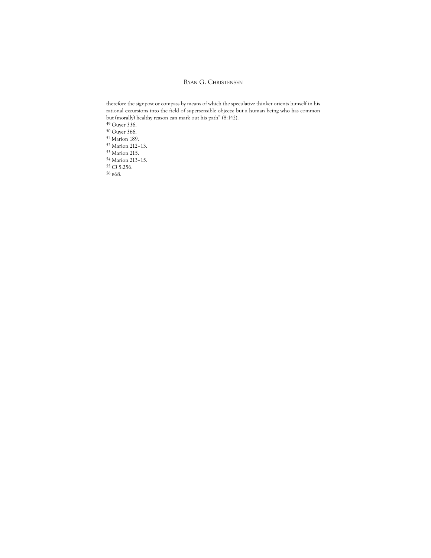therefore the signpost or compass by means of which the speculative thinker orients himself in his rational excursions into the field of supersensible objects; but a human being who has common but (morally) healthy reason can mark out his path" (8:142). Guyer 336. Guyer 366. Marion 189. Marion 212–13. Marion 215. Marion 213–15. CJ 5:256. B68.